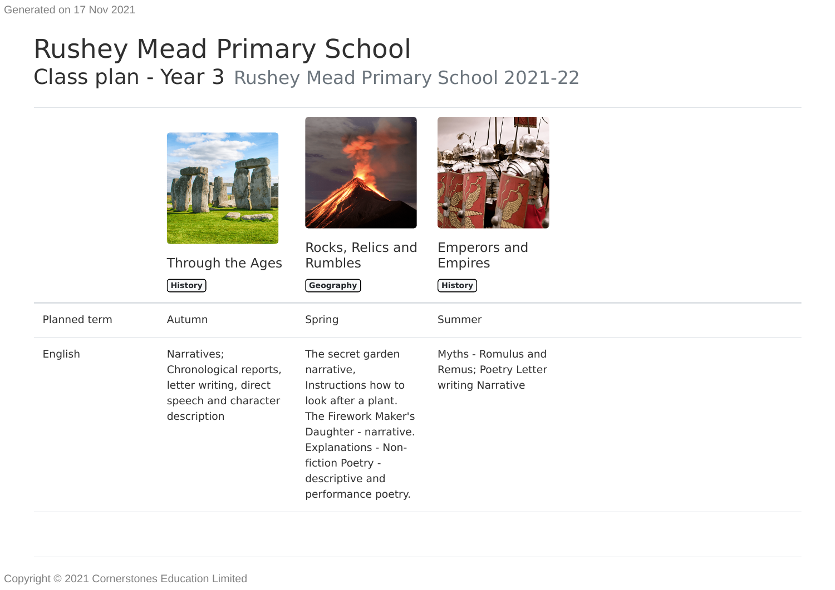## Rushey Mead Primary School Class plan - Year 3 Rushey Mead Primary School 2021-22

|              | Through the Ages<br><b>History</b>                                                                     | Rocks, Relics and<br><b>Rumbles</b><br>$($ Geography $)$                                                                                                                                                                   | <b>Emperors and</b><br><b>Empires</b><br>History                 |
|--------------|--------------------------------------------------------------------------------------------------------|----------------------------------------------------------------------------------------------------------------------------------------------------------------------------------------------------------------------------|------------------------------------------------------------------|
| Planned term | Autumn                                                                                                 | Spring                                                                                                                                                                                                                     | Summer                                                           |
| English      | Narratives;<br>Chronological reports,<br>letter writing, direct<br>speech and character<br>description | The secret garden<br>narrative,<br>Instructions how to<br>look after a plant.<br>The Firework Maker's<br>Daughter - narrative.<br><b>Explanations - Non-</b><br>fiction Poetry -<br>descriptive and<br>performance poetry. | Myths - Romulus and<br>Remus; Poetry Letter<br>writing Narrative |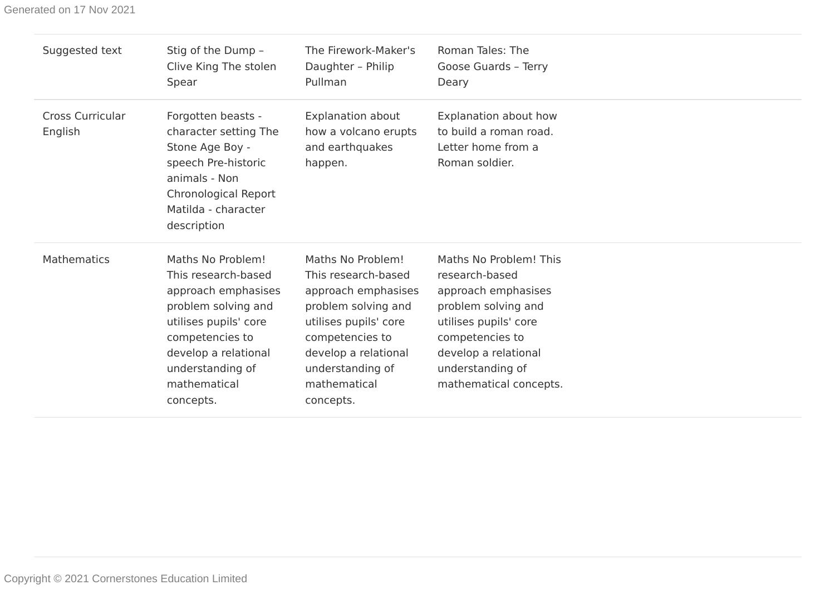| Suggested text                     | Stig of the Dump -<br>Clive King The stolen<br>Spear                                                                                                                                                        | The Firework-Maker's<br>Daughter - Philip<br>Pullman                                                                                                                                                        | Roman Tales: The<br>Goose Guards - Terry<br>Deary                                                                                                                                                        |
|------------------------------------|-------------------------------------------------------------------------------------------------------------------------------------------------------------------------------------------------------------|-------------------------------------------------------------------------------------------------------------------------------------------------------------------------------------------------------------|----------------------------------------------------------------------------------------------------------------------------------------------------------------------------------------------------------|
| <b>Cross Curricular</b><br>English | Forgotten beasts -<br>character setting The<br>Stone Age Boy -<br>speech Pre-historic<br>animals - Non<br>Chronological Report<br>Matilda - character<br>description                                        | <b>Explanation about</b><br>how a volcano erupts<br>and earthquakes<br>happen.                                                                                                                              | Explanation about how<br>to build a roman road.<br>Letter home from a<br>Roman soldier.                                                                                                                  |
| <b>Mathematics</b>                 | Maths No Problem!<br>This research-based<br>approach emphasises<br>problem solving and<br>utilises pupils' core<br>competencies to<br>develop a relational<br>understanding of<br>mathematical<br>concepts. | Maths No Problem!<br>This research-based<br>approach emphasises<br>problem solving and<br>utilises pupils' core<br>competencies to<br>develop a relational<br>understanding of<br>mathematical<br>concepts. | Maths No Problem! This<br>research-based<br>approach emphasises<br>problem solving and<br>utilises pupils' core<br>competencies to<br>develop a relational<br>understanding of<br>mathematical concepts. |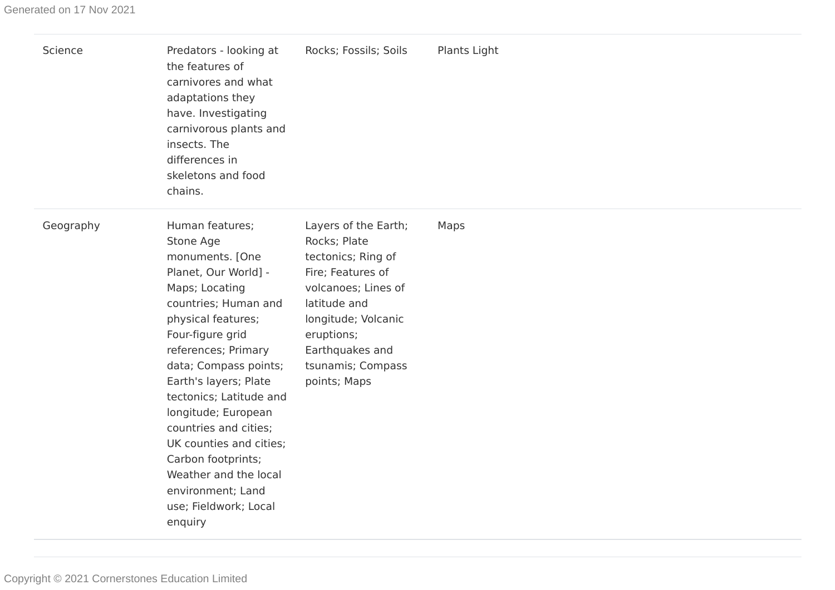| Science   | Predators - looking at<br>the features of<br>carnivores and what<br>adaptations they<br>have. Investigating<br>carnivorous plants and<br>insects. The<br>differences in<br>skeletons and food<br>chains.                                                                                                                                                                                                                                           | Rocks; Fossils; Soils                                                                                                                                                                                               | Plants Light |
|-----------|----------------------------------------------------------------------------------------------------------------------------------------------------------------------------------------------------------------------------------------------------------------------------------------------------------------------------------------------------------------------------------------------------------------------------------------------------|---------------------------------------------------------------------------------------------------------------------------------------------------------------------------------------------------------------------|--------------|
| Geography | Human features;<br>Stone Age<br>monuments. [One<br>Planet, Our World] -<br>Maps; Locating<br>countries; Human and<br>physical features;<br>Four-figure grid<br>references; Primary<br>data; Compass points;<br>Earth's layers; Plate<br>tectonics; Latitude and<br>longitude; European<br>countries and cities;<br>UK counties and cities;<br>Carbon footprints;<br>Weather and the local<br>environment; Land<br>use; Fieldwork; Local<br>enquiry | Layers of the Earth;<br>Rocks; Plate<br>tectonics; Ring of<br>Fire; Features of<br>volcanoes; Lines of<br>latitude and<br>longitude; Volcanic<br>eruptions;<br>Earthquakes and<br>tsunamis; Compass<br>points; Maps | Maps         |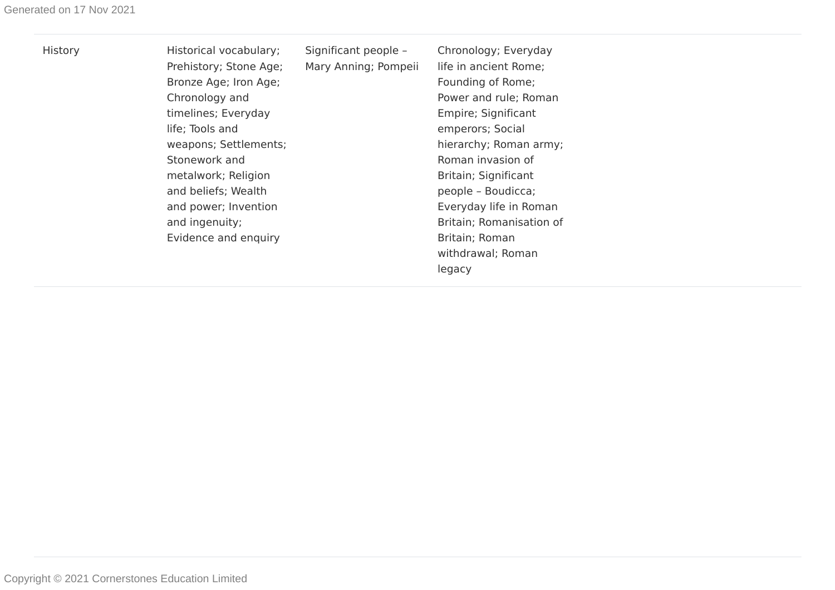| History | Historical vocabulary;<br>Prehistory; Stone Age;<br>Bronze Age; Iron Age;<br>Chronology and<br>timelines; Everyday<br>life; Tools and<br>weapons; Settlements;<br>Stonework and<br>metalwork; Religion<br>and beliefs; Wealth<br>and power; Invention<br>and ingenuity; | Significant people -<br>Mary Anning; Pompeii | Chronology; Everyday<br>life in ancient Rome;<br>Founding of Rome;<br>Power and rule; Roman<br>Empire; Significant<br>emperors; Social<br>hierarchy; Roman army;<br>Roman invasion of<br>Britain; Significant<br>people - Boudicca;<br>Everyday life in Roman<br>Britain; Romanisation of |
|---------|-------------------------------------------------------------------------------------------------------------------------------------------------------------------------------------------------------------------------------------------------------------------------|----------------------------------------------|-------------------------------------------------------------------------------------------------------------------------------------------------------------------------------------------------------------------------------------------------------------------------------------------|
|         |                                                                                                                                                                                                                                                                         |                                              |                                                                                                                                                                                                                                                                                           |
|         | Evidence and enquiry                                                                                                                                                                                                                                                    |                                              | Britain; Roman<br>withdrawal; Roman                                                                                                                                                                                                                                                       |
|         |                                                                                                                                                                                                                                                                         |                                              | legacy                                                                                                                                                                                                                                                                                    |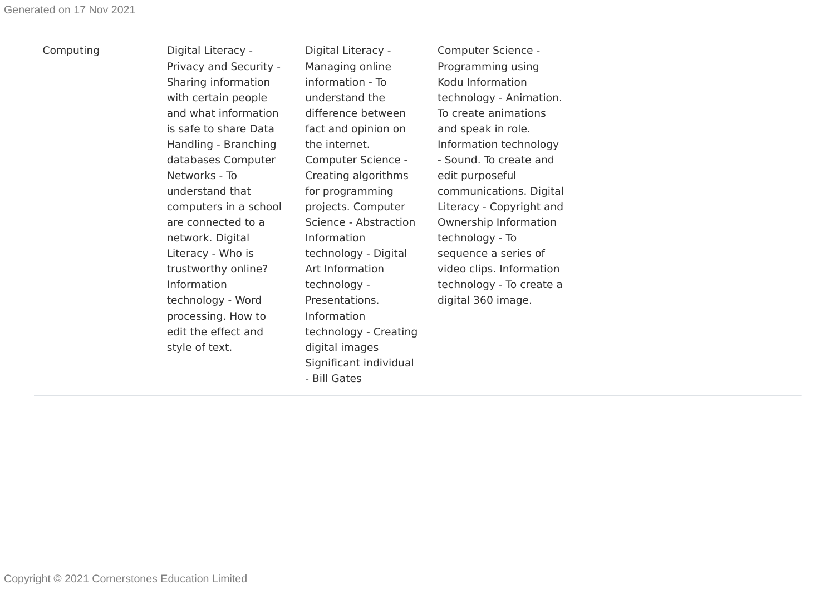Computing Digital Literacy -Privacy and Security - Sharing information with certain people and what information is safe to share Data Handling - Branching databases Computer Networks - To understand that computers in a school are connected to a network. Digital Literacy - Who is trustworthy online? Information technology - Word processing. How to edit the effect and style of text.

Digital Literacy - Managing online information - To understand the difference between fact and opinion on the internet. Computer Science - Creating algorithms for programming projects. Computer Science - Abstraction Information technology - Digital Art Information technology - Presentations. Information technology - Creating digital images Significant individual - Bill Gates

Computer Science - Programming using Kodu Information technology - Animation. To create animations and speak in role. Information technology - Sound. To create and edit purposeful communications. Digital Literacy - Copyright and Ownership Information technology - To sequence a series of video clips. Information technology - To create a digital 360 image.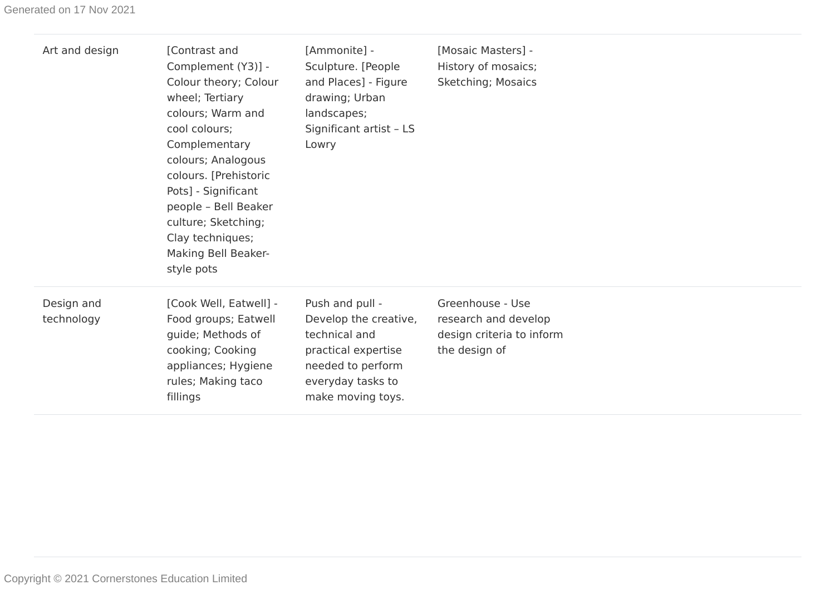| Art and design           | [Contrast and<br>Complement (Y3)] -<br>Colour theory; Colour<br>wheel; Tertiary<br>colours; Warm and<br>cool colours;<br>Complementary<br>colours; Analogous<br>colours. [Prehistoric<br>Pots] - Significant<br>people - Bell Beaker<br>culture; Sketching;<br>Clay techniques;<br>Making Bell Beaker-<br>style pots | [Ammonite] -<br>Sculpture. [People<br>and Places] - Figure<br>drawing; Urban<br>landscapes;<br>Significant artist - LS<br>Lowry                 | [Mosaic Masters] -<br>History of mosaics;<br>Sketching; Mosaics                        |
|--------------------------|----------------------------------------------------------------------------------------------------------------------------------------------------------------------------------------------------------------------------------------------------------------------------------------------------------------------|-------------------------------------------------------------------------------------------------------------------------------------------------|----------------------------------------------------------------------------------------|
| Design and<br>technology | [Cook Well, Eatwell] -<br>Food groups; Eatwell<br>guide; Methods of<br>cooking; Cooking<br>appliances; Hygiene<br>rules; Making taco<br>fillings                                                                                                                                                                     | Push and pull -<br>Develop the creative,<br>technical and<br>practical expertise<br>needed to perform<br>everyday tasks to<br>make moving toys. | Greenhouse - Use<br>research and develop<br>design criteria to inform<br>the design of |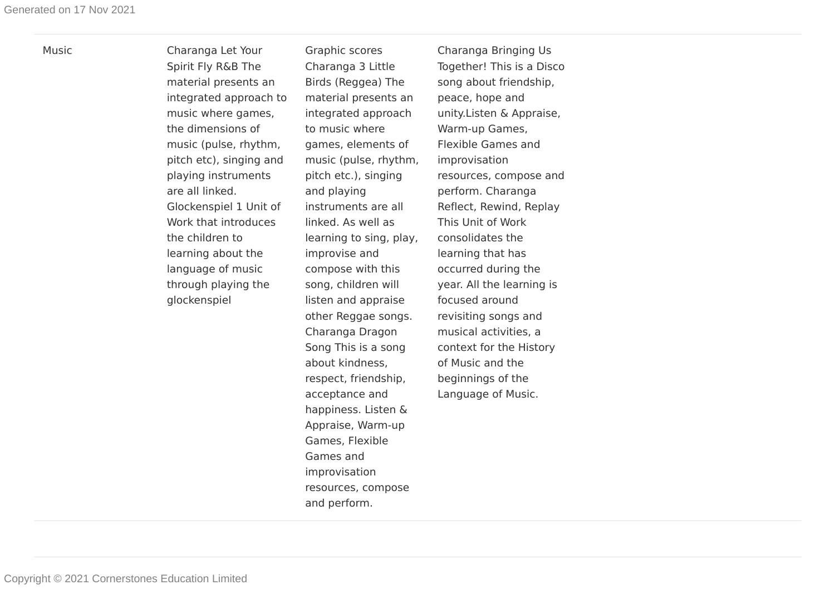Music Charanga Let Your Spirit Fly R&B The material presents an integrated approach to music where games, the dimensions of music (pulse, rhythm, pitch etc), singing and playing instruments are all linked. Glockenspiel 1 Unit of Work that introduces the children to learning about the language of music through playing the glockenspiel

Graphic scores Charanga 3 Little Birds (Reggea) The material presents an integrated approach to music where games, elements of music (pulse, rhythm, pitch etc.), singing and playing instruments are all linked. As well as learning to sing, play, improvise and compose with this song, children will listen and appraise other Reggae songs. Charanga Dragon Song This is a song about kindness, respect, friendship, acceptance and happiness. Listen & Appraise, Warm-up Games, Flexible Games and improvisation resources, compose and perform.

Charanga Bringing Us Together! This is a Disco song about friendship, peace, hope and unity.Listen & Appraise, Warm-up Games, Flexible Games and improvisation resources, compose and perform. Charanga Reflect, Rewind, Replay This Unit of Work consolidates the learning that has occurred during the year. All the learning is focused around revisiting songs and musical activities, a context for the History of Music and the beginnings of the Language of Music.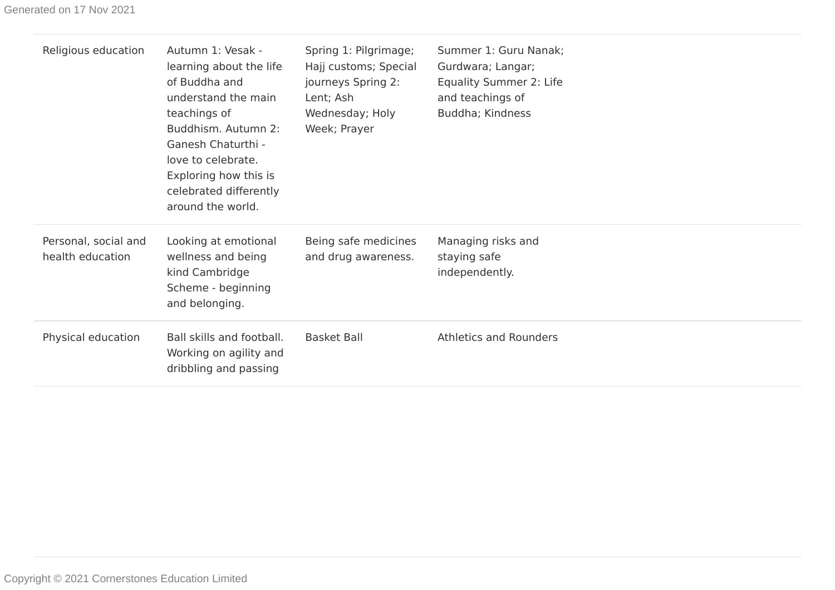| Religious education                      | Autumn 1: Vesak -<br>learning about the life<br>of Buddha and<br>understand the main<br>teachings of<br>Buddhism. Autumn 2:<br>Ganesh Chaturthi -<br>love to celebrate.<br>Exploring how this is<br>celebrated differently<br>around the world. | Spring 1: Pilgrimage;<br>Hajj customs; Special<br>journeys Spring 2:<br>Lent; Ash<br>Wednesday; Holy<br>Week; Prayer | Summer 1: Guru Nanak;<br>Gurdwara; Langar;<br>Equality Summer 2: Life<br>and teachings of<br>Buddha; Kindness |
|------------------------------------------|-------------------------------------------------------------------------------------------------------------------------------------------------------------------------------------------------------------------------------------------------|----------------------------------------------------------------------------------------------------------------------|---------------------------------------------------------------------------------------------------------------|
| Personal, social and<br>health education | Looking at emotional<br>wellness and being<br>kind Cambridge<br>Scheme - beginning<br>and belonging.                                                                                                                                            | Being safe medicines<br>and drug awareness.                                                                          | Managing risks and<br>staying safe<br>independently.                                                          |
| Physical education                       | Ball skills and football.<br>Working on agility and<br>dribbling and passing                                                                                                                                                                    | <b>Basket Ball</b>                                                                                                   | <b>Athletics and Rounders</b>                                                                                 |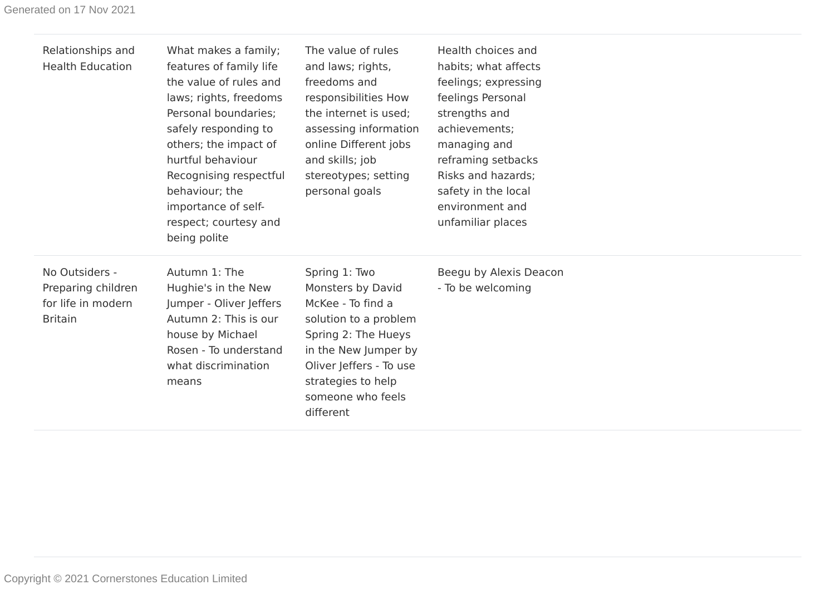| Relationships and<br><b>Health Education</b>                                 | What makes a family;<br>features of family life<br>the value of rules and<br>laws; rights, freedoms<br>Personal boundaries;<br>safely responding to<br>others; the impact of<br>hurtful behaviour<br>Recognising respectful<br>behaviour; the<br>importance of self-<br>respect; courtesy and<br>being polite | The value of rules<br>and laws; rights,<br>freedoms and<br>responsibilities How<br>the internet is used;<br>assessing information<br>online Different jobs<br>and skills; job<br>stereotypes; setting<br>personal goals | Health choices and<br>habits; what affects<br>feelings; expressing<br>feelings Personal<br>strengths and<br>achievements;<br>managing and<br>reframing setbacks<br>Risks and hazards;<br>safety in the local<br>environment and<br>unfamiliar places |
|------------------------------------------------------------------------------|---------------------------------------------------------------------------------------------------------------------------------------------------------------------------------------------------------------------------------------------------------------------------------------------------------------|-------------------------------------------------------------------------------------------------------------------------------------------------------------------------------------------------------------------------|------------------------------------------------------------------------------------------------------------------------------------------------------------------------------------------------------------------------------------------------------|
| No Outsiders -<br>Preparing children<br>for life in modern<br><b>Britain</b> | Autumn 1: The<br>Hughie's in the New<br>Jumper - Oliver Jeffers<br>Autumn 2: This is our<br>house by Michael<br>Rosen - To understand<br>what discrimination<br>means                                                                                                                                         | Spring 1: Two<br>Monsters by David<br>McKee - To find a<br>solution to a problem<br>Spring 2: The Hueys<br>in the New Jumper by<br>Oliver Jeffers - To use<br>strategies to help<br>someone who feels<br>different      | Beegu by Alexis Deacon<br>- To be welcoming                                                                                                                                                                                                          |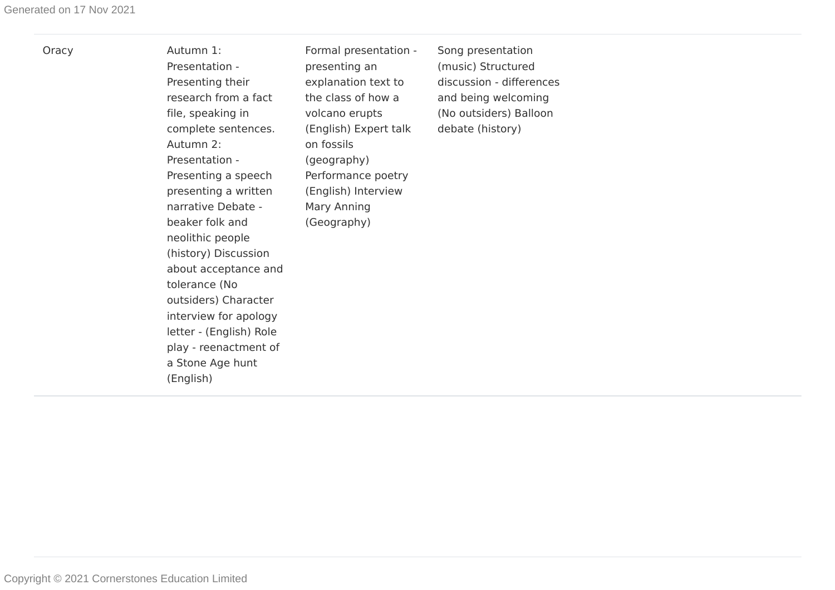Oracy Autumn 1: Presentation - Presenting their research from a fact file, speaking in complete sentences. Autumn 2: Presentation - Presenting a speech presenting a written narrative Debate beaker folk and neolithic people (history) Discussion about acceptance and tolerance (No outsiders) Character interview for apology letter - (English) Role play - reenactment of a Stone Age hunt (English)

Formal presentation presenting an explanation text to the class of how a volcano erupts (English) Expert talk on fossils (geography) Performance poetry (English) Interview Mary Anning (Geography)

Song presentation (music) Structured discussion - differences and being welcoming (No outsiders) Balloon debate (history)